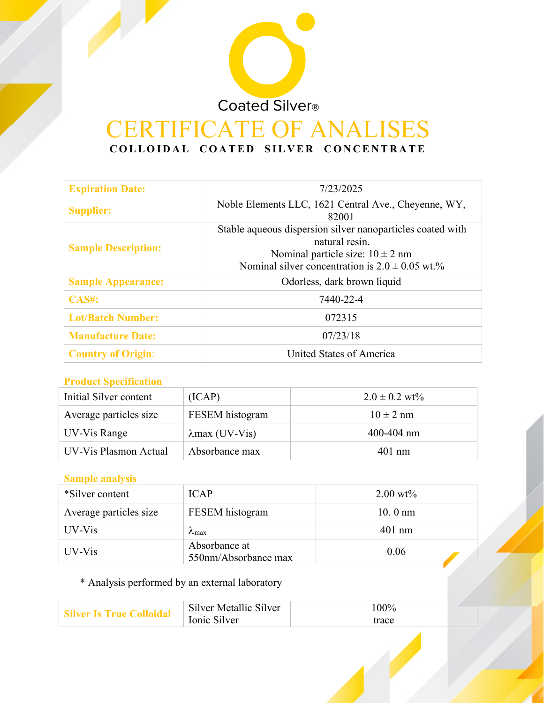# Coated Silver® **IFICATE OF ANALISES COLLOIDAL COATED SILVER CONCENTRATE**

| <b>Expiration Date:</b>    | 7/23/2025                                                                                                                                                                   |  |
|----------------------------|-----------------------------------------------------------------------------------------------------------------------------------------------------------------------------|--|
| <b>Supplier:</b>           | Noble Elements LLC, 1621 Central Ave., Cheyenne, WY,<br>82001                                                                                                               |  |
| <b>Sample Description:</b> | Stable aqueous dispersion silver nanoparticles coated with<br>natural resin.<br>Nominal particle size: $10 \pm 2$ nm<br>Nominal silver concentration is $2.0 \pm 0.05$ wt.% |  |
| <b>Sample Appearance:</b>  | Odorless, dark brown liquid                                                                                                                                                 |  |
| <b>CAS#:</b>               | 7440-22-4                                                                                                                                                                   |  |
| <b>Lot/Batch Number:</b>   | 072315                                                                                                                                                                      |  |
| <b>Manufacture Date:</b>   | 07/23/18                                                                                                                                                                    |  |
| <b>Country of Origin:</b>  | United States of America                                                                                                                                                    |  |

# **Product Specification**

| Initial Silver content | (ICAP)                 | $2.0 \pm 0.2$ wt% |
|------------------------|------------------------|-------------------|
| Average particles size | FESEM histogram        | $10 \pm 2$ nm     |
| UV-Vis Range           | $\lambda$ max (UV-Vis) | $400 - 404$ nm    |
| UV-Vis Plasmon Actual  | Absorbance max         | $401$ nm          |

# **Sample analysis**

| *Silver content        | <b>ICAP</b>                           | $2.00 \text{ wt\%}$ |
|------------------------|---------------------------------------|---------------------|
| Average particles size | FESEM histogram                       | $10.0 \text{ nm}$   |
| UV-Vis                 | $\lambda_{\text{max}}$                | $401$ nm            |
| UV-Vis                 | Absorbance at<br>550nm/Absorbance max | 0.06                |

# \* Analysis performed by an external laboratory

| Silver Is True Colloida | Silver Metallic Silver | 100%  |
|-------------------------|------------------------|-------|
|                         | Ionic Silver           | trace |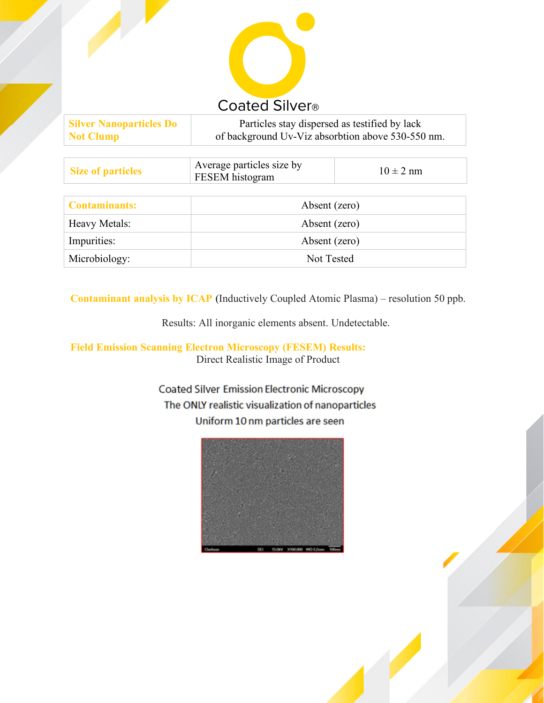

| <b>Silver Nanoparticles Do</b> | Particles stay dispersed as testified by lack     |
|--------------------------------|---------------------------------------------------|
| <b>Not Clump</b>               | of background Uv-Viz absorbtion above 530-550 nm. |

| <b>Size of particles</b> | Average particles size by<br>FESEM histogram | $10 \pm 2$ nm |
|--------------------------|----------------------------------------------|---------------|
|                          |                                              |               |
| <b>Contaminants:</b>     | Absent (zero)                                |               |
| Heavy Metals:            | Absent (zero)                                |               |
| Impurities:              | Absent (zero)                                |               |
| Microbiology:            | Not Tested                                   |               |

**Contaminant analysis by ICAP** (Inductively Coupled Atomic Plasma) – resolution 50 ppb.

Results: All inorganic elements absent. Undetectable.

#### **Field Emission Scanning Electron Microscopy (FESEM) Results:** Direct Realistic Image of Product

**Coated Silver Emission Electronic Microscopy** The ONLY realistic visualization of nanoparticles Uniform 10 nm particles are seen

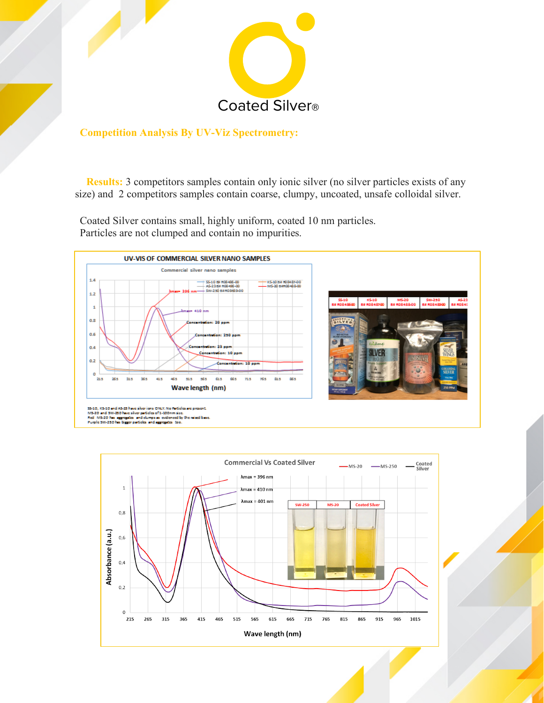

### **Competition Analysis By UV-Viz Spectrometry:**

**Results:** 3 competitors samples contain only ionic silver (no silver particles exists of any size) and 2 competitors samples contain coarse, clumpy, uncoated, unsafe colloidal silver.

Coated Silver contains small, highly uniform, coated 10 nm particles. Particles are not clumped and contain no impurities.